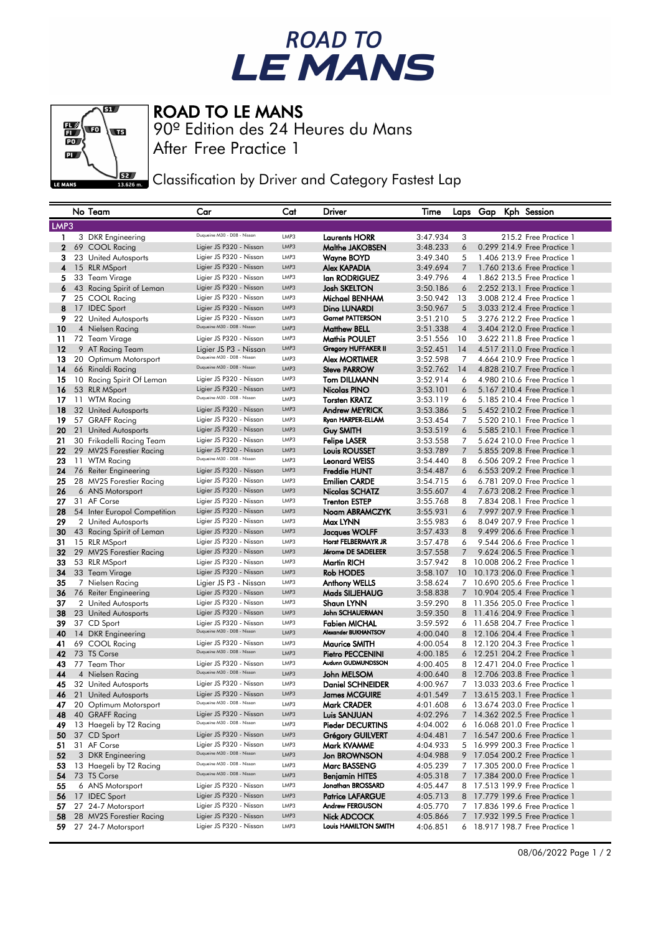## ROAD TO<br>LE MANS



## ROAD TO LE MANS

After Free Practice 1 90º Edition des 24 Heures du Mans

Classification by Driver and Category Fastest Lap

|             | No Team                      | Car                         | Cat  | Driver                     | Time     |                 |  | Laps Gap Kph Session           |
|-------------|------------------------------|-----------------------------|------|----------------------------|----------|-----------------|--|--------------------------------|
| LMP3        |                              |                             |      |                            |          |                 |  |                                |
| 1.          | 3 DKR Engineering            | Duqueine M30 - D08 - Nissan | LMP3 | <b>Laurents HORR</b>       | 3:47.934 | 3               |  | 215.2 Free Practice 1          |
| $\mathbf 2$ | 69 COOL Racing               | Ligier JS P320 - Nissan     | LMP3 | Malthe JAKOBSEN            | 3:48.233 | 6               |  | 0.299 214.9 Free Practice 1    |
| 3           | 23 United Autosports         | Ligier JS P320 - Nissan     | LMP3 | Wayne BOYD                 | 3:49.340 | 5               |  | 1,406 213,9 Free Practice 1    |
| 4           | 15 RLR MSport                | Ligier JS P320 - Nissan     | LMP3 | Alex KAPADIA               | 3:49.694 | $\overline{7}$  |  | 1.760 213.6 Free Practice 1    |
| 5           | 33 Team Virage               | Ligier JS P320 - Nissan     | LMP3 | lan RODRIGUEZ              | 3:49.796 | 4               |  | 1.862 213.5 Free Practice 1    |
| 6           | 43 Racing Spirit of Leman    | Ligier JS P320 - Nissan     | LMP3 | <b>Josh SKELTON</b>        | 3:50.186 | 6               |  | 2.252 213.1 Free Practice 1    |
| 7           | 25 COOL Racing               | Ligier JS P320 - Nissan     | LMP3 | Michael BENHAM             | 3:50.942 | 13              |  | 3.008 212.4 Free Practice 1    |
| 8           | 17 IDEC Sport                | Ligier JS P320 - Nissan     | LMP3 | Dino LUNARDI               | 3:50.967 | 5               |  | 3.033 212.4 Free Practice 1    |
| 9           | 22 United Autosports         | Ligier JS P320 - Nissan     | LMP3 | <b>Garnet PATTERSON</b>    | 3:51.210 | 5               |  | 3.276 212.2 Free Practice 1    |
| 10          | 4 Nielsen Racing             | Duqueine M30 - D08 - Nissan | LMP3 | <b>Matthew BELL</b>        | 3:51.338 | $\overline{4}$  |  | 3.404 212.0 Free Practice 1    |
| 11          | 72 Team Virage               | Ligier JS P320 - Nissan     | LMP3 | <b>Mathis POULET</b>       | 3:51.556 | 10              |  | 3.622 211.8 Free Practice 1    |
| 12          | 9 AT Racing Team             | Ligier JS P3 - Nissan       | LMP3 | <b>Gregory HUFFAKER II</b> | 3:52.451 | 14              |  | 4.517 211.0 Free Practice 1    |
| 13          | 20 Optimum Motorsport        | Duqueine M30 - D08 - Nissan | LMP3 | <b>Alex MORTIMER</b>       | 3:52.598 | 7               |  | 4.664 210.9 Free Practice 1    |
| 14          | 66 Rinaldi Racing            | Duqueine M30 - D08 - Nissan | LMP3 | <b>Steve PARROW</b>        | 3:52.762 | 14              |  | 4.828 210.7 Free Practice 1    |
| 15          | 10 Racing Spirit Of Leman    | Ligier JS P320 - Nissan     | LMP3 | <b>Tom DILLMANN</b>        | 3:52.914 | 6               |  | 4.980 210.6 Free Practice 1    |
| 16          | 53 RLR MSport                | Ligier JS P320 - Nissan     | LMP3 | Nicolas PINO               | 3:53.101 | 6               |  | 5.167 210.4 Free Practice 1    |
| 17          | 11 WTM Racing                | Duqueine M30 - D08 - Nissan | LMP3 | <b>Torsten KRATZ</b>       | 3:53.119 | 6               |  | 5.185 210.4 Free Practice 1    |
| 18          | 32 United Autosports         | Ligier JS P320 - Nissan     | LMP3 | <b>Andrew MEYRICK</b>      | 3:53.386 | 5               |  | 5.452 210.2 Free Practice 1    |
| 19          | 57 GRAFF Racing              | Ligier JS P320 - Nissan     | LMP3 | Ryan HARPER-ELLAM          | 3:53.454 | 7               |  | 5.520 210.1 Free Practice 1    |
| 20          | 21 United Autosports         | Ligier JS P320 - Nissan     | LMP3 | <b>Guy SMITH</b>           | 3:53.519 | 6               |  | 5.585 210.1 Free Practice 1    |
| 21          | 30 Frikadelli Racing Team    | Ligier JS P320 - Nissan     | LMP3 | <b>Felipe LASER</b>        | 3:53.558 | 7               |  | 5.624 210.0 Free Practice 1    |
| 22          | 29 MV2S Forestier Racing     | Ligier JS P320 - Nissan     | LMP3 | Louis ROUSSET              | 3:53.789 | 7               |  | 5.855 209.8 Free Practice 1    |
| 23          | 11 WTM Racing                | Duqueine M30 - D08 - Nissan | LMP3 | <b>Leonard WEISS</b>       | 3:54.440 | 8               |  | 6.506 209.2 Free Practice 1    |
| 24          | 76 Reiter Engineering        | Ligier JS P320 - Nissan     | LMP3 | Freddie HUNT               | 3:54.487 | 6               |  | 6.553 209.2 Free Practice 1    |
| 25          | 28 MV2S Forestier Racing     | Ligier JS P320 - Nissan     | LMP3 | <b>Emilien CARDE</b>       | 3:54.715 | 6               |  | 6.781 209.0 Free Practice 1    |
| 26          | 6 ANS Motorsport             | Ligier JS P320 - Nissan     | LMP3 | Nicolas SCHATZ             | 3:55.607 | $\overline{4}$  |  | 7.673 208.2 Free Practice 1    |
| 27          | 31 AF Corse                  | Ligier JS P320 - Nissan     | LMP3 | <b>Trenton ESTEP</b>       | 3:55.768 | 8               |  | 7.834 208.1 Free Practice 1    |
| 28          | 54 Inter Europol Competition | Ligier JS P320 - Nissan     | LMP3 | Noam ABRAMCZYK             | 3:55.931 | 6               |  | 7.997 207.9 Free Practice 1    |
| 29          | 2 United Autosports          | Ligier JS P320 - Nissan     | LMP3 | Max LYNN                   | 3:55.983 | 6               |  | 8.049 207.9 Free Practice 1    |
| 30          | 43 Racing Spirit of Leman    | Ligier JS P320 - Nissan     | LMP3 | <b>Jacques WOLFF</b>       | 3:57.433 | 8               |  | 9.499 206.6 Free Practice 1    |
| 31          | 15 RLR MSport                | Ligier JS P320 - Nissan     | LMP3 | Horst FELBERMAYR JR        | 3:57.478 | 6               |  | 9.544 206.6 Free Practice 1    |
| 32          | 29 MV2S Forestier Racing     | Ligier JS P320 - Nissan     | LMP3 | Jérome DE SADELEER         | 3:57.558 | $\overline{7}$  |  | 9.624 206.5 Free Practice 1    |
| 33          | 53 RLR MSport                | Ligier JS P320 - Nissan     | LMP3 | Martin RICH                | 3:57.942 |                 |  | 8 10,008 206.2 Free Practice 1 |
| 34          | 33 Team Virage               | Ligier JS P320 - Nissan     | LMP3 | Rob HODES                  | 3:58.107 | 10 <sup>°</sup> |  | 10.173 206.0 Free Practice 1   |
| 35          | 7 Nielsen Racing             | Ligier JS P3 - Nissan       | LMP3 | Anthony WELLS              | 3:58.624 |                 |  | 7 10.690 205.6 Free Practice 1 |
| 36          | 76 Reiter Engineering        | Ligier JS P320 - Nissan     | LMP3 | Mads SILJEHAUG             | 3:58.838 |                 |  | 10.904 205.4 Free Practice 1   |
| 37          | 2 United Autosports          | Ligier JS P320 - Nissan     | LMP3 | Shaun LYNN                 | 3:59.290 |                 |  | 8 11,356 205.0 Free Practice 1 |
| 38          | 23 United Autosports         | Ligier JS P320 - Nissan     | LMP3 | John SCHAUERMAN            | 3:59.350 |                 |  | 8 11.416 204.9 Free Practice 1 |
| 39          | 37 CD Sport                  | Ligier JS P320 - Nissan     | LMP3 | <b>Fabien MICHAL</b>       | 3:59.592 |                 |  | 6 11,658 204.7 Free Practice 1 |
| 40          | 14 DKR Engineering           | Duqueine M30 - D08 - Nissan | LMP3 | Alexander BUKHANTSOV       | 4:00.040 |                 |  | 8 12.106 204.4 Free Practice 1 |
| 41          | 69 COOL Racing               | Ligier JS P320 - Nissan     | LMP3 | <b>Maurice SMITH</b>       | 4:00.054 |                 |  | 8 12.120 204.3 Free Practice 1 |
| 42          | 73 TS Corse                  | Duqueine M30 - D08 - Nissan | LMP3 | <b>Pietro PECCENINI</b>    | 4:00.185 |                 |  | 6 12.251 204.2 Free Practice 1 |
| 43          | 77 Team Thor                 | Ligier JS P320 - Nissan     | LMP3 | Audunn GUDMUNDSSON         | 4:00.405 |                 |  | 8 12.471 204.0 Free Practice 1 |
| 44          | 4 Nielsen Racing             | Duqueine M30 - D08 - Nissan | LMP3 | John MELSOM                | 4:00.640 |                 |  | 8 12.706 203.8 Free Practice 1 |
| 45          | 32 United Autosports         | Ligier JS P320 - Nissan     | LMP3 | <b>Daniel SCHNEIDER</b>    | 4:00.967 | 7               |  | 13.033 203.6 Free Practice 1   |
| 46          | 21 United Autosports         | Ligier JS P320 - Nissan     | LMP3 | James MCGUIRE              | 4:01.549 |                 |  | 7 13.615 203.1 Free Practice 1 |
| 47          | 20 Optimum Motorsport        | Duqueine M30 - D08 - Nissan | LMP3 | Mark CRADER                | 4:01.608 |                 |  | 6 13.674 203.0 Free Practice 1 |
| 48          | 40 GRAFF Racing              | Ligier JS P320 - Nissan     | LMP3 | Luis SANJUAN               | 4:02.296 |                 |  | 7 14.362 202.5 Free Practice 1 |
| 49          | 13 Haegeli by T2 Racing      | Duqueine M30 - D08 - Nissan | LMP3 | <b>Pieder DECURTINS</b>    | 4:04.002 | 6               |  | 16.068 201.0 Free Practice 1   |
| 50          | 37 CD Sport                  | Ligier JS P320 - Nissan     | LMP3 | <b>Grégory GUILVERT</b>    | 4:04.481 |                 |  | 7 16.547 200.6 Free Practice 1 |
| 51          | 31 AF Corse                  | Ligier JS P320 - Nissan     | LMP3 | Mark KVAMME                | 4:04.933 |                 |  | 5 16.999 200.3 Free Practice 1 |
| 52          | 3 DKR Engineering            | Duqueine M30 - D08 - Nissan | LMP3 | <b>Jon BROWNSON</b>        | 4:04.988 |                 |  | 9 17.054 200.2 Free Practice 1 |
| 53          | 13 Haegeli by T2 Racing      | Duqueine M30 - D08 - Nissan | LMP3 | <b>Marc BASSENG</b>        | 4:05.239 |                 |  | 7 17.305 200.0 Free Practice 1 |
| 54          | 73 TS Corse                  | Duqueine M30 - D08 - Nissan | LMP3 | <b>Benjamin HITES</b>      | 4:05.318 |                 |  | 7 17.384 200.0 Free Practice 1 |
| 55          | 6 ANS Motorsport             | Ligier JS P320 - Nissan     | LMP3 | Jonathan BROSSARD          | 4:05.447 |                 |  | 8 17.513 199.9 Free Practice 1 |
| 56          | 17 IDEC Sport                | Ligier JS P320 - Nissan     | LMP3 | <b>Patrice LAFARGUE</b>    | 4:05.713 |                 |  | 8 17.779 199.6 Free Practice 1 |
| 57          | 27 24-7 Motorsport           | Ligier JS P320 - Nissan     | LMP3 | Andrew FERGUSON            | 4:05.770 | 7               |  | 17.836 199.6 Free Practice 1   |
| 58          | 28 MV2S Forestier Racing     | Ligier JS P320 - Nissan     | LMP3 | Nick ADCOCK                | 4:05.866 |                 |  | 7 17.932 199.5 Free Practice 1 |
| 59          | 27 24-7 Motorsport           | Ligier JS P320 - Nissan     | LMP3 | Louis HAMILTON SMITH       | 4:06.851 |                 |  | 6 18.917 198.7 Free Practice 1 |
|             |                              |                             |      |                            |          |                 |  |                                |

08/06/2022 Page 1 / 2